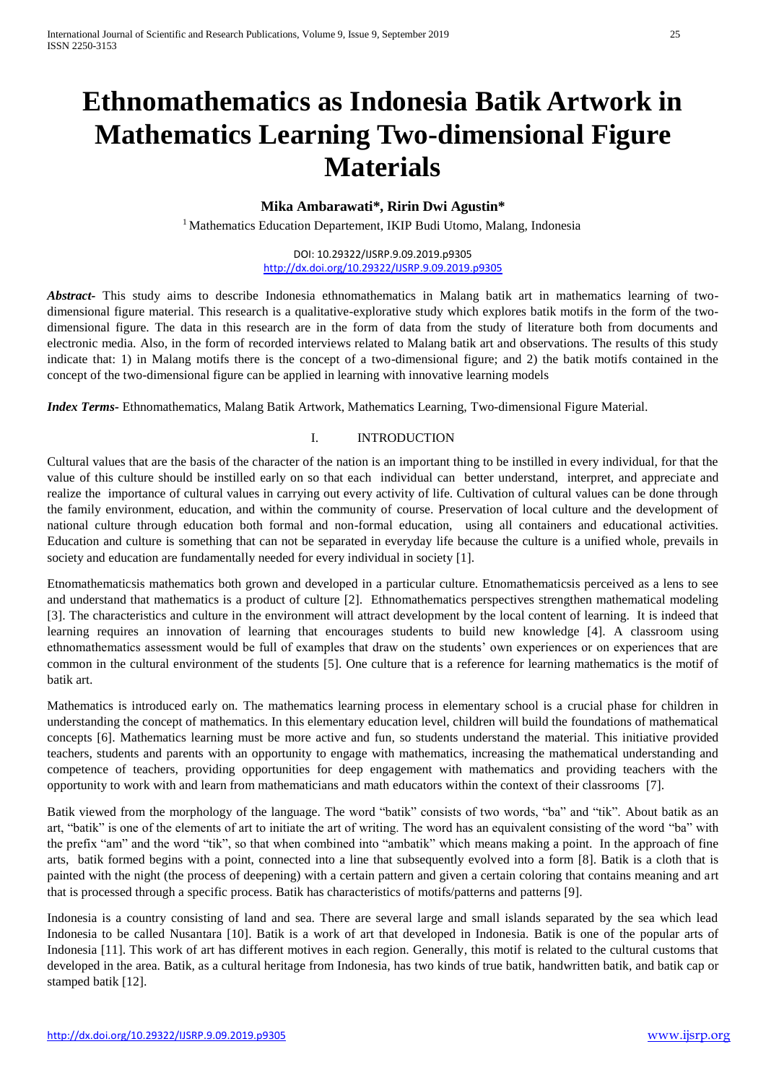# **Ethnomathematics as Indonesia Batik Artwork in Mathematics Learning Two-dimensional Figure Materials**

### **Mika Ambarawati\*, Ririn Dwi Agustin\***

<sup>1</sup> Mathematics Education Departement, IKIP Budi Utomo, Malang, Indonesia

DOI: 10.29322/IJSRP.9.09.2019.p9305 <http://dx.doi.org/10.29322/IJSRP.9.09.2019.p9305>

*Abstract-* This study aims to describe Indonesia ethnomathematics in Malang batik art in mathematics learning of twodimensional figure material. This research is a qualitative-explorative study which explores batik motifs in the form of the twodimensional figure. The data in this research are in the form of data from the study of literature both from documents and electronic media. Also, in the form of recorded interviews related to Malang batik art and observations. The results of this study indicate that: 1) in Malang motifs there is the concept of a two-dimensional figure; and 2) the batik motifs contained in the concept of the two-dimensional figure can be applied in learning with innovative learning models

*Index Terms-* Ethnomathematics, Malang Batik Artwork, Mathematics Learning, Two-dimensional Figure Material.

### I. INTRODUCTION

Cultural values that are the basis of the character of the nation is an important thing to be instilled in every individual, for that the value of this culture should be instilled early on so that each individual can better understand, interpret, and appreciate and realize the importance of cultural values in carrying out every activity of life. Cultivation of cultural values can be done through the family environment, education, and within the community of course. Preservation of local culture and the development of national culture through education both formal and non-formal education, using all containers and educational activities. Education and culture is something that can not be separated in everyday life because the culture is a unified whole, prevails in society and education are fundamentally needed for every individual in society [1].

Etnomathematicsis mathematics both grown and developed in a particular culture. Etnomathematicsis perceived as a lens to see and understand that mathematics is a product of culture [2]. Ethnomathematics perspectives strengthen mathematical modeling [3]. The characteristics and culture in the environment will attract development by the local content of learning. It is indeed that learning requires an innovation of learning that encourages students to build new knowledge [4]. A classroom using ethnomathematics assessment would be full of examples that draw on the students' own experiences or on experiences that are common in the cultural environment of the students [5]. One culture that is a reference for learning mathematics is the motif of batik art.

Mathematics is introduced early on. The mathematics learning process in elementary school is a crucial phase for children in understanding the concept of mathematics. In this elementary education level, children will build the foundations of mathematical concepts [6]. Mathematics learning must be more active and fun, so students understand the material. This initiative provided teachers, students and parents with an opportunity to engage with mathematics, increasing the mathematical understanding and competence of teachers, providing opportunities for deep engagement with mathematics and providing teachers with the opportunity to work with and learn from mathematicians and math educators within the context of their classrooms [7].

Batik viewed from the morphology of the language. The word "batik" consists of two words, "ba" and "tik". About batik as an art, "batik" is one of the elements of art to initiate the art of writing. The word has an equivalent consisting of the word "ba" with the prefix "am" and the word "tik", so that when combined into "ambatik" which means making a point. In the approach of fine arts, batik formed begins with a point, connected into a line that subsequently evolved into a form [8]. Batik is a cloth that is painted with the night (the process of deepening) with a certain pattern and given a certain coloring that contains meaning and art that is processed through a specific process. Batik has characteristics of motifs/patterns and patterns [9].

Indonesia is a country consisting of land and sea. There are several large and small islands separated by the sea which lead Indonesia to be called Nusantara [10]. Batik is a work of art that developed in Indonesia. Batik is one of the popular arts of Indonesia [11]. This work of art has different motives in each region. Generally, this motif is related to the cultural customs that developed in the area. Batik, as a cultural heritage from Indonesia, has two kinds of true batik, handwritten batik, and batik cap or stamped batik [12].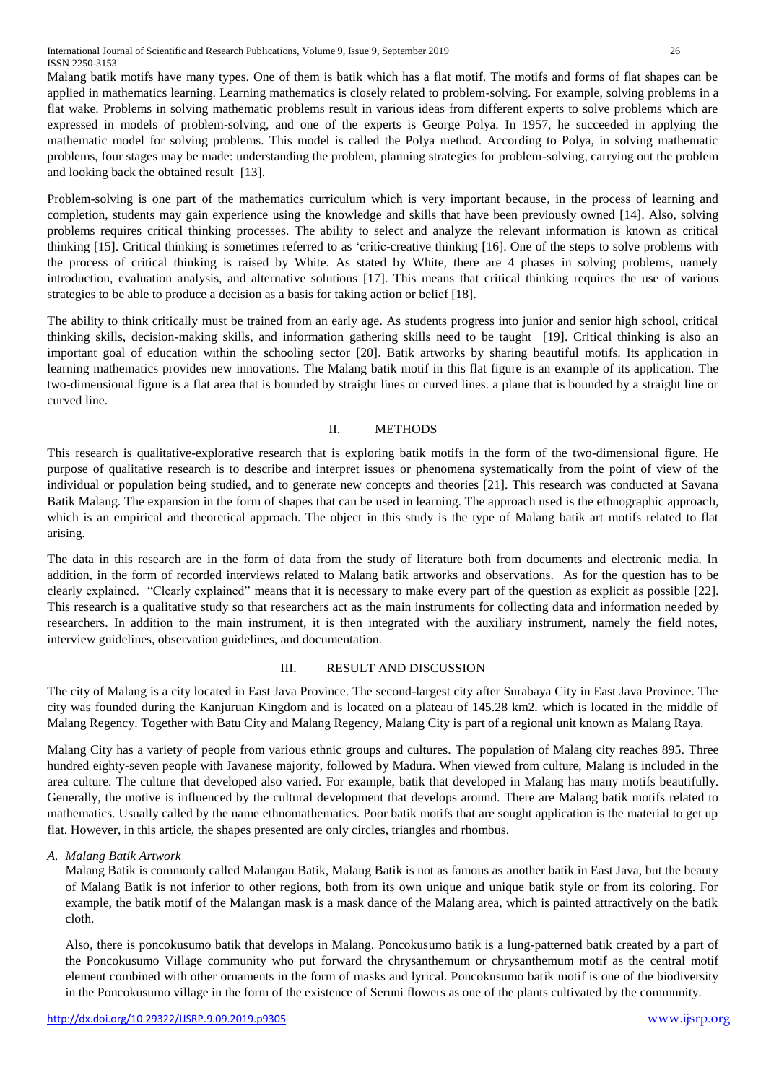International Journal of Scientific and Research Publications, Volume 9, Issue 9, September 2019 26 ISSN 2250-3153

Malang batik motifs have many types. One of them is batik which has a flat motif. The motifs and forms of flat shapes can be applied in mathematics learning. Learning mathematics is closely related to problem-solving. For example, solving problems in a flat wake. Problems in solving mathematic problems result in various ideas from different experts to solve problems which are expressed in models of problem-solving, and one of the experts is George Polya. In 1957, he succeeded in applying the mathematic model for solving problems. This model is called the Polya method. According to Polya, in solving mathematic problems, four stages may be made: understanding the problem, planning strategies for problem-solving, carrying out the problem and looking back the obtained result [13].

Problem-solving is one part of the mathematics curriculum which is very important because, in the process of learning and completion, students may gain experience using the knowledge and skills that have been previously owned [14]. Also, solving problems requires critical thinking processes. The ability to select and analyze the relevant information is known as critical thinking [15]. Critical thinking is sometimes referred to as 'critic-creative thinking [16]. One of the steps to solve problems with the process of critical thinking is raised by White. As stated by White, there are 4 phases in solving problems, namely introduction, evaluation analysis, and alternative solutions [17]. This means that critical thinking requires the use of various strategies to be able to produce a decision as a basis for taking action or belief [18].

The ability to think critically must be trained from an early age. As students progress into junior and senior high school, critical thinking skills, decision-making skills, and information gathering skills need to be taught [19]. Critical thinking is also an important goal of education within the schooling sector [20]. Batik artworks by sharing beautiful motifs. Its application in learning mathematics provides new innovations. The Malang batik motif in this flat figure is an example of its application. The two-dimensional figure is a flat area that is bounded by straight lines or curved lines. a plane that is bounded by a straight line or curved line.

### II. METHODS

This research is qualitative-explorative research that is exploring batik motifs in the form of the two-dimensional figure. He purpose of qualitative research is to describe and interpret issues or phenomena systematically from the point of view of the individual or population being studied, and to generate new concepts and theories [21]. This research was conducted at Savana Batik Malang. The expansion in the form of shapes that can be used in learning. The approach used is the ethnographic approach, which is an empirical and theoretical approach. The object in this study is the type of Malang batik art motifs related to flat arising.

The data in this research are in the form of data from the study of literature both from documents and electronic media. In addition, in the form of recorded interviews related to Malang batik artworks and observations. As for the question has to be clearly explained. "Clearly explained" means that it is necessary to make every part of the question as explicit as possible [22]. This research is a qualitative study so that researchers act as the main instruments for collecting data and information needed by researchers. In addition to the main instrument, it is then integrated with the auxiliary instrument, namely the field notes, interview guidelines, observation guidelines, and documentation.

### III. RESULT AND DISCUSSION

The city of Malang is a city located in East Java Province. The second-largest city after Surabaya City in East Java Province. The city was founded during the Kanjuruan Kingdom and is located on a plateau of 145.28 km2. which is located in the middle of Malang Regency. Together with Batu City and Malang Regency, Malang City is part of a regional unit known as Malang Raya.

Malang City has a variety of people from various ethnic groups and cultures. The population of Malang city reaches 895. Three hundred eighty-seven people with Javanese majority, followed by Madura. When viewed from culture, Malang is included in the area culture. The culture that developed also varied. For example, batik that developed in Malang has many motifs beautifully. Generally, the motive is influenced by the cultural development that develops around. There are Malang batik motifs related to mathematics. Usually called by the name ethnomathematics. Poor batik motifs that are sought application is the material to get up flat. However, in this article, the shapes presented are only circles, triangles and rhombus.

### *A. Malang Batik Artwork*

Malang Batik is commonly called Malangan Batik, Malang Batik is not as famous as another batik in East Java, but the beauty of Malang Batik is not inferior to other regions, both from its own unique and unique batik style or from its coloring. For example, the batik motif of the Malangan mask is a mask dance of the Malang area, which is painted attractively on the batik cloth.

Also, there is poncokusumo batik that develops in Malang. Poncokusumo batik is a lung-patterned batik created by a part of the Poncokusumo Village community who put forward the chrysanthemum or chrysanthemum motif as the central motif element combined with other ornaments in the form of masks and lyrical. Poncokusumo batik motif is one of the biodiversity in the Poncokusumo village in the form of the existence of Seruni flowers as one of the plants cultivated by the community.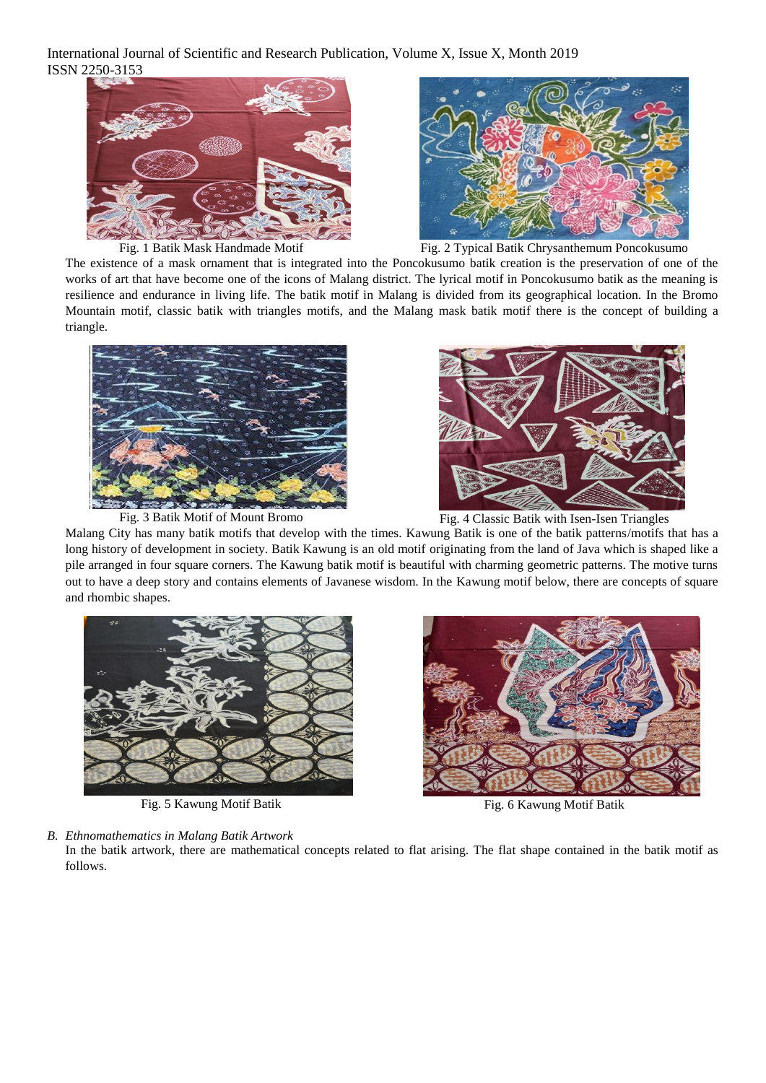International Journal of Scientific and Research Publication, Volume X, Issue X, Month 2019 ISSN 2250-3153





Fig. 1 Batik Mask Handmade Motif Fig. 2 Typical Batik Chrysanthemum Poncokusumo

The existence of a mask ornament that is integrated into the Poncokusumo batik creation is the preservation of one of the works of art that have become one of the icons of Malang district. The lyrical motif in Poncokusumo batik as the meaning is resilience and endurance in living life. The batik motif in Malang is divided from its geographical location. In the Bromo Mountain motif, classic batik with triangles motifs, and the Malang mask batik motif there is the concept of building a triangle.





Fig. 3 Batik Motif of Mount Bromo Fig. 4 Classic Batik with Isen-Isen Triangles

Malang City has many batik motifs that develop with the times. Kawung Batik is one of the batik patterns/motifs that has a long history of development in society. Batik Kawung is an old motif originating from the land of Java which is shaped like a pile arranged in four square corners. The Kawung batik motif is beautiful with charming geometric patterns. The motive turns out to have a deep story and contains elements of Javanese wisdom. In the Kawung motif below, there are concepts of square and rhombic shapes.



Fig. 5 Kawung Motif Batik Fig. 6 Kawung Motif Batik

*B. Ethnomathematics in Malang Batik Artwork*

In the batik artwork, there are mathematical concepts related to flat arising. The flat shape contained in the batik motif as follows.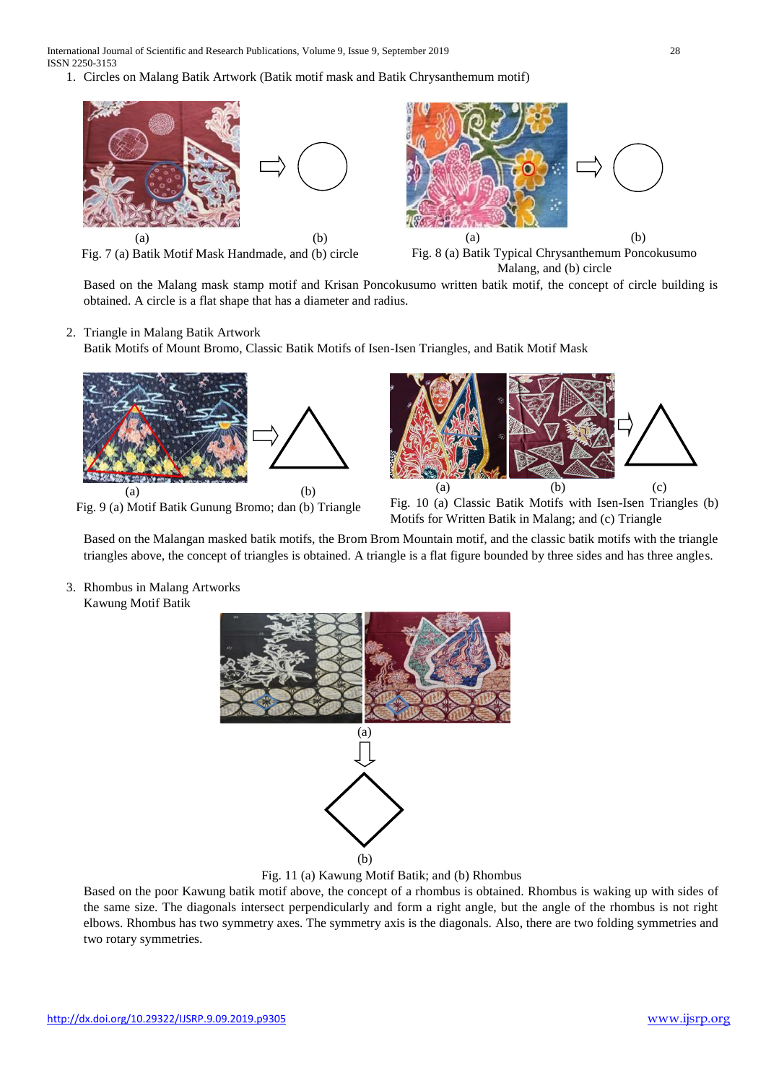International Journal of Scientific and Research Publications, Volume 9, Issue 9, September 2019 28 ISSN 2250-3153

1. Circles on Malang Batik Artwork (Batik motif mask and Batik Chrysanthemum motif)



Fig. 7 (a) Batik Motif Mask Handmade, and (b) circle



Fig. 8 (a) Batik Typical Chrysanthemum Poncokusumo Malang, and (b) circle

Based on the Malang mask stamp motif and Krisan Poncokusumo written batik motif, the concept of circle building is obtained. A circle is a flat shape that has a diameter and radius.

2. Triangle in Malang Batik Artwork

Batik Motifs of Mount Bromo, Classic Batik Motifs of Isen-Isen Triangles, and Batik Motif Mask



Motifs for Written Batik in Malang; and (c) Triangle

Based on the Malangan masked batik motifs, the Brom Brom Mountain motif, and the classic batik motifs with the triangle triangles above, the concept of triangles is obtained. A triangle is a flat figure bounded by three sides and has three angles.

3. Rhombus in Malang Artworks Kawung Motif Batik



Fig. 11 (a) Kawung Motif Batik; and (b) Rhombus

Based on the poor Kawung batik motif above, the concept of a rhombus is obtained. Rhombus is waking up with sides of the same size. The diagonals intersect perpendicularly and form a right angle, but the angle of the rhombus is not right elbows. Rhombus has two symmetry axes. The symmetry axis is the diagonals. Also, there are two folding symmetries and two rotary symmetries.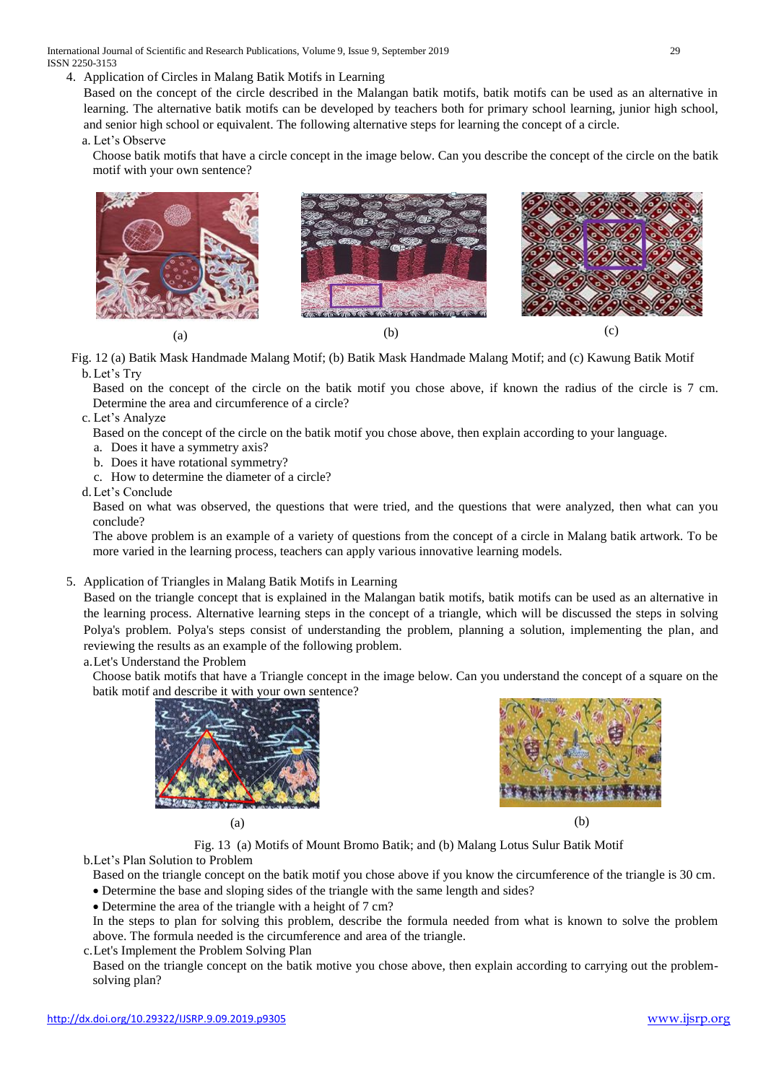International Journal of Scientific and Research Publications, Volume 9, Issue 9, September 2019 29 ISSN 2250-3153

4. Application of Circles in Malang Batik Motifs in Learning

Based on the concept of the circle described in the Malangan batik motifs, batik motifs can be used as an alternative in learning. The alternative batik motifs can be developed by teachers both for primary school learning, junior high school, and senior high school or equivalent. The following alternative steps for learning the concept of a circle.

a. Let's Observe

Choose batik motifs that have a circle concept in the image below. Can you describe the concept of the circle on the batik motif with your own sentence?



Fig. 12 (a) Batik Mask Handmade Malang Motif; (b) Batik Mask Handmade Malang Motif; and (c) Kawung Batik Motif b.Let's Try

Based on the concept of the circle on the batik motif you chose above, if known the radius of the circle is 7 cm. Determine the area and circumference of a circle?

c. Let's Analyze

Based on the concept of the circle on the batik motif you chose above, then explain according to your language.

- a. Does it have a symmetry axis?
- b. Does it have rotational symmetry?
- c. How to determine the diameter of a circle?
- d.Let's Conclude

Based on what was observed, the questions that were tried, and the questions that were analyzed, then what can you conclude?

The above problem is an example of a variety of questions from the concept of a circle in Malang batik artwork. To be more varied in the learning process, teachers can apply various innovative learning models.

### 5. Application of Triangles in Malang Batik Motifs in Learning

Based on the triangle concept that is explained in the Malangan batik motifs, batik motifs can be used as an alternative in the learning process. Alternative learning steps in the concept of a triangle, which will be discussed the steps in solving Polya's problem. Polya's steps consist of understanding the problem, planning a solution, implementing the plan, and reviewing the results as an example of the following problem.

a.Let's Understand the Problem

Choose batik motifs that have a Triangle concept in the image below. Can you understand the concept of a square on the batik motif and describe it with your own sentence?





 $(a)$  (b)

Fig. 13 (a) Motifs of Mount Bromo Batik; and (b) Malang Lotus Sulur Batik Motif

b.Let's Plan Solution to Problem

Based on the triangle concept on the batik motif you chose above if you know the circumference of the triangle is 30 cm. Determine the base and sloping sides of the triangle with the same length and sides?

Determine the area of the triangle with a height of 7 cm?

In the steps to plan for solving this problem, describe the formula needed from what is known to solve the problem above. The formula needed is the circumference and area of the triangle.

c.Let's Implement the Problem Solving Plan

Based on the triangle concept on the batik motive you chose above, then explain according to carrying out the problemsolving plan?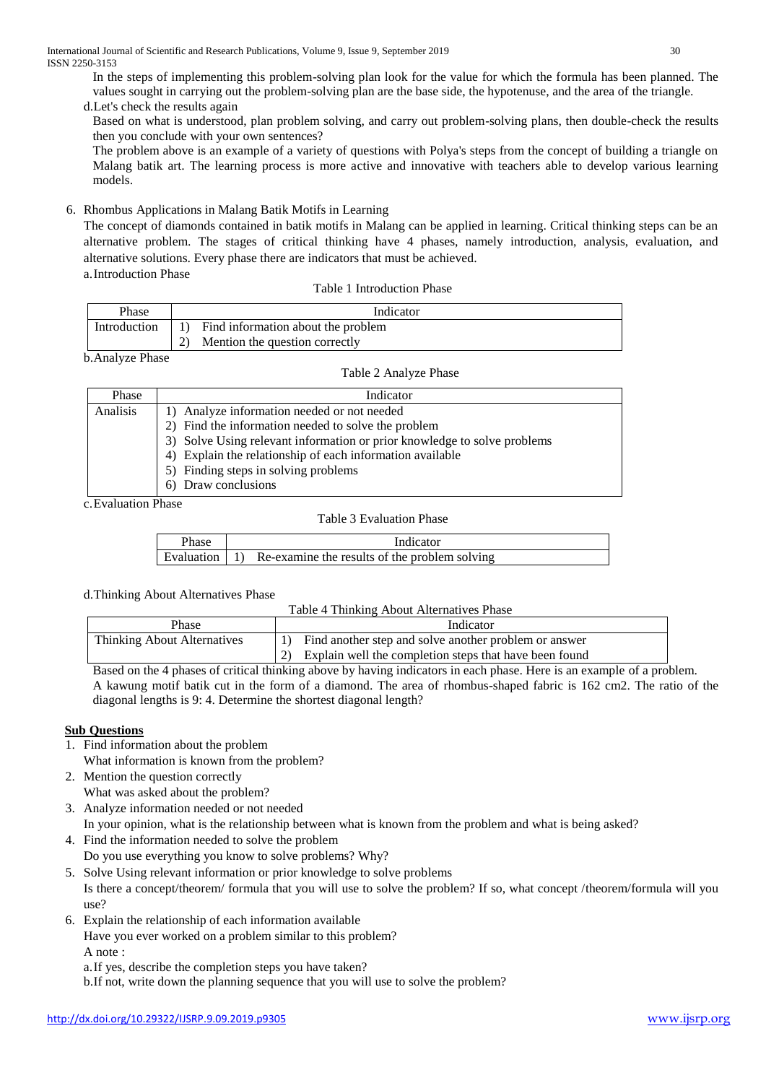In the steps of implementing this problem-solving plan look for the value for which the formula has been planned. The values sought in carrying out the problem-solving plan are the base side, the hypotenuse, and the area of the triangle.

d.Let's check the results again

Based on what is understood, plan problem solving, and carry out problem-solving plans, then double-check the results then you conclude with your own sentences?

The problem above is an example of a variety of questions with Polya's steps from the concept of building a triangle on Malang batik art. The learning process is more active and innovative with teachers able to develop various learning models.

6. Rhombus Applications in Malang Batik Motifs in Learning

The concept of diamonds contained in batik motifs in Malang can be applied in learning. Critical thinking steps can be an alternative problem. The stages of critical thinking have 4 phases, namely introduction, analysis, evaluation, and alternative solutions. Every phase there are indicators that must be achieved. a.Introduction Phase

Table 1 Introduction Phase

| Phase        | Indicator                                        |  |
|--------------|--------------------------------------------------|--|
| Introduction | Find information about the problem<br>$\vert$ 1) |  |
|              | Mention the question correctly                   |  |

| b.Analyze Phase |  |
|-----------------|--|
|-----------------|--|

| Phase           | Indicator                                                                |
|-----------------|--------------------------------------------------------------------------|
| <b>Analisis</b> | 1) Analyze information needed or not needed                              |
|                 | 2) Find the information needed to solve the problem                      |
|                 | 3) Solve Using relevant information or prior knowledge to solve problems |
|                 | 4) Explain the relationship of each information available                |
|                 | 5) Finding steps in solving problems                                     |
|                 | 6) Draw conclusions                                                      |

c.Evaluation Phase

### Table 3 Evaluation Phase

| Phase | Indicator                                                            |
|-------|----------------------------------------------------------------------|
|       | Evaluation $\vert 1$ ) Re-examine the results of the problem solving |

### d.Thinking About Alternatives Phase

| Table 4 Thinking About Alternatives Phase |                                                        |  |  |  |  |
|-------------------------------------------|--------------------------------------------------------|--|--|--|--|
| <b>Phase</b>                              | Indicator                                              |  |  |  |  |
| Thinking About Alternatives               | Find another step and solve another problem or answer  |  |  |  |  |
|                                           | Explain well the completion steps that have been found |  |  |  |  |
| $\mathbf{r}$                              |                                                        |  |  |  |  |

Based on the 4 phases of critical thinking above by having indicators in each phase. Here is an example of a problem. A kawung motif batik cut in the form of a diamond. The area of rhombus-shaped fabric is 162 cm2. The ratio of the diagonal lengths is 9: 4. Determine the shortest diagonal length?

## **Sub Questions**

- 1. Find information about the problem
	- What information is known from the problem?
- 2. Mention the question correctly What was asked about the problem?
- 3. Analyze information needed or not needed
	- In your opinion, what is the relationship between what is known from the problem and what is being asked?
- 4. Find the information needed to solve the problem
- Do you use everything you know to solve problems? Why?
- 5. Solve Using relevant information or prior knowledge to solve problems Is there a concept/theorem/ formula that you will use to solve the problem? If so, what concept /theorem/formula will you use?
- 6. Explain the relationship of each information available
	- Have you ever worked on a problem similar to this problem?

A note :

a.If yes, describe the completion steps you have taken?

b.If not, write down the planning sequence that you will use to solve the problem?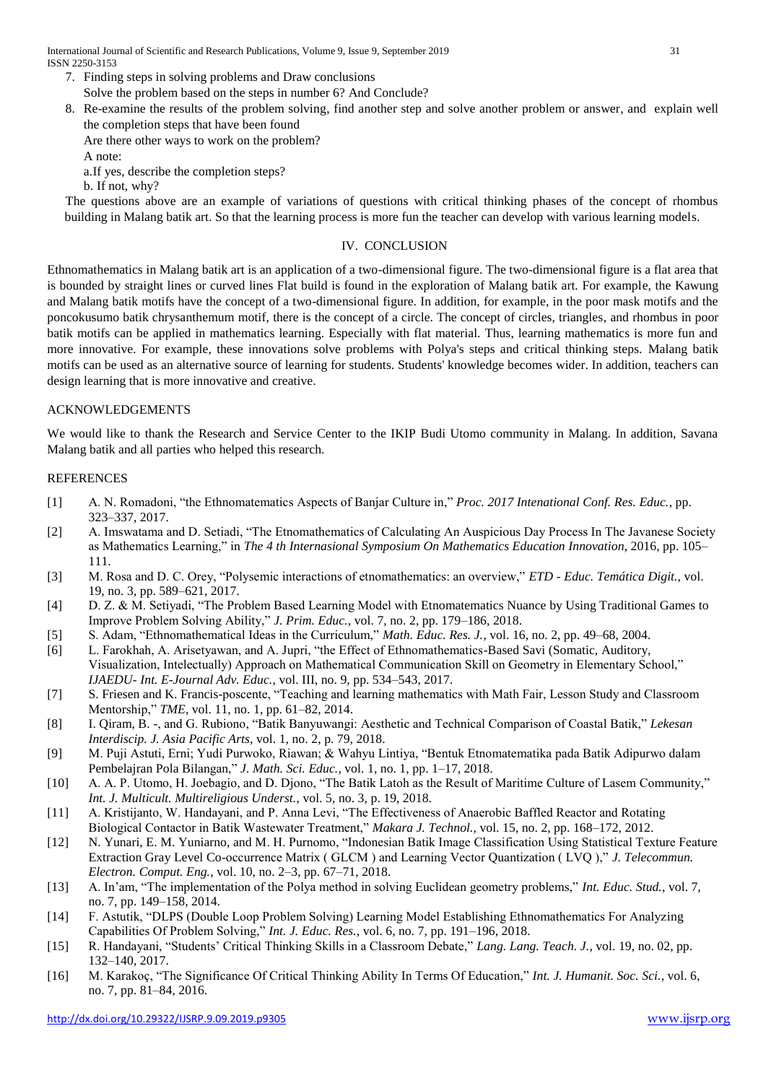International Journal of Scientific and Research Publications, Volume 9, Issue 9, September 2019 31 ISSN 2250-3153

- 7. Finding steps in solving problems and Draw conclusions Solve the problem based on the steps in number 6? And Conclude?
- 8. Re-examine the results of the problem solving, find another step and solve another problem or answer, and explain well the completion steps that have been found

Are there other ways to work on the problem?

A note:

a.If yes, describe the completion steps?

b. If not, why?

The questions above are an example of variations of questions with critical thinking phases of the concept of rhombus building in Malang batik art. So that the learning process is more fun the teacher can develop with various learning models.

### IV. CONCLUSION

Ethnomathematics in Malang batik art is an application of a two-dimensional figure. The two-dimensional figure is a flat area that is bounded by straight lines or curved lines Flat build is found in the exploration of Malang batik art. For example, the Kawung and Malang batik motifs have the concept of a two-dimensional figure. In addition, for example, in the poor mask motifs and the poncokusumo batik chrysanthemum motif, there is the concept of a circle. The concept of circles, triangles, and rhombus in poor batik motifs can be applied in mathematics learning. Especially with flat material. Thus, learning mathematics is more fun and more innovative. For example, these innovations solve problems with Polya's steps and critical thinking steps. Malang batik motifs can be used as an alternative source of learning for students. Students' knowledge becomes wider. In addition, teachers can design learning that is more innovative and creative.

### ACKNOWLEDGEMENTS

We would like to thank the Research and Service Center to the IKIP Budi Utomo community in Malang. In addition, Savana Malang batik and all parties who helped this research.

### REFERENCES

- [1] A. N. Romadoni, "the Ethnomatematics Aspects of Banjar Culture in," *Proc. 2017 Intenational Conf. Res. Educ.*, pp. 323–337, 2017.
- [2] A. Imswatama and D. Setiadi, "The Etnomathematics of Calculating An Auspicious Day Process In The Javanese Society as Mathematics Learning," in *The 4 th Internasional Symposium On Mathematics Education Innovation*, 2016, pp. 105– 111.
- [3] M. Rosa and D. C. Orey, "Polysemic interactions of etnomathematics: an overview," *ETD - Educ. Temática Digit.*, vol. 19, no. 3, pp. 589–621, 2017.
- [4] D. Z. & M. Setiyadi, "The Problem Based Learning Model with Etnomatematics Nuance by Using Traditional Games to Improve Problem Solving Ability," *J. Prim. Educ.*, vol. 7, no. 2, pp. 179–186, 2018.
- [5] S. Adam, "Ethnomathematical Ideas in the Curriculum," *Math. Educ. Res. J.*, vol. 16, no. 2, pp. 49–68, 2004.
- [6] L. Farokhah, A. Arisetyawan, and A. Jupri, "the Effect of Ethnomathematics-Based Savi (Somatic, Auditory, Visualization, Intelectually) Approach on Mathematical Communication Skill on Geometry in Elementary School," *IJAEDU- Int. E-Journal Adv. Educ.*, vol. III, no. 9, pp. 534–543, 2017.
- [7] S. Friesen and K. Francis-poscente, "Teaching and learning mathematics with Math Fair, Lesson Study and Classroom Mentorship," *TME*, vol. 11, no. 1, pp. 61–82, 2014.
- [8] I. Qiram, B. -, and G. Rubiono, "Batik Banyuwangi: Aesthetic and Technical Comparison of Coastal Batik," *Lekesan Interdiscip. J. Asia Pacific Arts*, vol. 1, no. 2, p. 79, 2018.
- [9] M. Puji Astuti, Erni; Yudi Purwoko, Riawan; & Wahyu Lintiya, "Bentuk Etnomatematika pada Batik Adipurwo dalam Pembelajran Pola Bilangan," *J. Math. Sci. Educ.*, vol. 1, no. 1, pp. 1–17, 2018.
- [10] A. A. P. Utomo, H. Joebagio, and D. Djono, "The Batik Latoh as the Result of Maritime Culture of Lasem Community," *Int. J. Multicult. Multireligious Underst.*, vol. 5, no. 3, p. 19, 2018.
- [11] A. Kristijanto, W. Handayani, and P. Anna Levi, "The Effectiveness of Anaerobic Baffled Reactor and Rotating Biological Contactor in Batik Wastewater Treatment," *Makara J. Technol.*, vol. 15, no. 2, pp. 168–172, 2012.
- [12] N. Yunari, E. M. Yuniarno, and M. H. Purnomo, "Indonesian Batik Image Classification Using Statistical Texture Feature Extraction Gray Level Co-occurrence Matrix ( GLCM ) and Learning Vector Quantization ( LVQ )," *J. Telecommun. Electron. Comput. Eng.*, vol. 10, no. 2–3, pp. 67–71, 2018.
- [13] A. In'am, "The implementation of the Polya method in solving Euclidean geometry problems," *Int. Educ. Stud.*, vol. 7, no. 7, pp. 149–158, 2014.
- [14] F. Astutik, "DLPS (Double Loop Problem Solving) Learning Model Establishing Ethnomathematics For Analyzing Capabilities Of Problem Solving," *Int. J. Educ. Res.*, vol. 6, no. 7, pp. 191–196, 2018.
- [15] R. Handayani, "Students' Critical Thinking Skills in a Classroom Debate," *Lang. Lang. Teach. J.*, vol. 19, no. 02, pp. 132–140, 2017.
- [16] M. Karakoç, "The Significance Of Critical Thinking Ability In Terms Of Education," *Int. J. Humanit. Soc. Sci.*, vol. 6, no. 7, pp. 81–84, 2016.